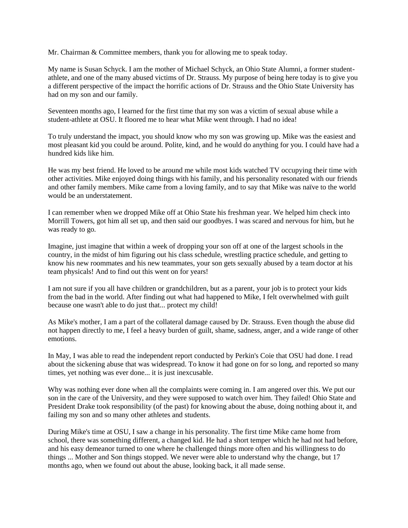Mr. Chairman & Committee members, thank you for allowing me to speak today.

My name is Susan Schyck. I am the mother of Michael Schyck, an Ohio State Alumni, a former studentathlete, and one of the many abused victims of Dr. Strauss. My purpose of being here today is to give you a different perspective of the impact the horrific actions of Dr. Strauss and the Ohio State University has had on my son and our family.

Seventeen months ago, I learned for the first time that my son was a victim of sexual abuse while a student-athlete at OSU. It floored me to hear what Mike went through. I had no idea!

To truly understand the impact, you should know who my son was growing up. Mike was the easiest and most pleasant kid you could be around. Polite, kind, and he would do anything for you. I could have had a hundred kids like him.

He was my best friend. He loved to be around me while most kids watched TV occupying their time with other activities. Mike enjoyed doing things with his family, and his personality resonated with our friends and other family members. Mike came from a loving family, and to say that Mike was naïve to the world would be an understatement.

I can remember when we dropped Mike off at Ohio State his freshman year. We helped him check into Morrill Towers, got him all set up, and then said our goodbyes. I was scared and nervous for him, but he was ready to go.

Imagine, just imagine that within a week of dropping your son off at one of the largest schools in the country, in the midst of him figuring out his class schedule, wrestling practice schedule, and getting to know his new roommates and his new teammates, your son gets sexually abused by a team doctor at his team physicals! And to find out this went on for years!

I am not sure if you all have children or grandchildren, but as a parent, your job is to protect your kids from the bad in the world. After finding out what had happened to Mike, I felt overwhelmed with guilt because one wasn't able to do just that... protect my child!

As Mike's mother, I am a part of the collateral damage caused by Dr. Strauss. Even though the abuse did not happen directly to me, I feel a heavy burden of guilt, shame, sadness, anger, and a wide range of other emotions.

In May, I was able to read the independent report conducted by Perkin's Coie that OSU had done. I read about the sickening abuse that was widespread. To know it had gone on for so long, and reported so many times, yet nothing was ever done... it is just inexcusable.

Why was nothing ever done when all the complaints were coming in. I am angered over this. We put our son in the care of the University, and they were supposed to watch over him. They failed! Ohio State and President Drake took responsibility (of the past) for knowing about the abuse, doing nothing about it, and failing my son and so many other athletes and students.

During Mike's time at OSU, I saw a change in his personality. The first time Mike came home from school, there was something different, a changed kid. He had a short temper which he had not had before, and his easy demeanor turned to one where he challenged things more often and his willingness to do things ... Mother and Son things stopped. We never were able to understand why the change, but 17 months ago, when we found out about the abuse, looking back, it all made sense.